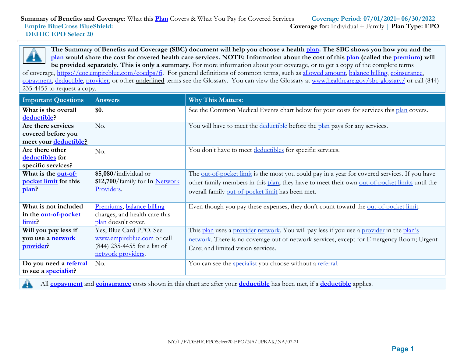**The Summary of Benefits and Coverage (SBC) document will help you choose a health [plan.](https://www.healthcare.gov/sbc-glossary/) The SBC shows you how you and the [plan](https://www.healthcare.gov/sbc-glossary/) would share the cost for covered health care services. NOTE: Information about the cost of this [plan](https://www.healthcare.gov/sbc-glossary/) (called the [premium\)](https://www.healthcare.gov/sbc-glossary/) will be provided separately. This is only a summary.** For more information about your coverage, or to get a copy of the complete terms

of coverage, [https://eoc.empireblue.com/eocdps/fi.](https://eoc.empireblue.com/eocdps/fi) For general definitions of common terms, such as [allowed amount, balance billing, coinsurance,](https://www.healthcare.gov/sbc-glossary/) [copayment, deductible, provider,](https://www.healthcare.gov/sbc-glossary/) or other underlined terms see the Glossary. You can view the Glossary at [www.healthcare.gov/sbc-glossary/](http://www.healthcare.gov/sbc-glossary/) or call (844) 235-4455 to request a copy.

| <b>Important Questions</b>   | <b>Answers</b>                 | <b>Why This Matters:</b>                                                                      |
|------------------------------|--------------------------------|-----------------------------------------------------------------------------------------------|
| What is the overall          | \$0.                           | See the Common Medical Events chart below for your costs for services this plan covers.       |
| deductible?                  |                                |                                                                                               |
| Are there services           | No.                            | You will have to meet the deductible before the plan pays for any services.                   |
| covered before you           |                                |                                                                                               |
| meet your deductible?        |                                |                                                                                               |
| Are there other              | No.                            | You don't have to meet deductibles for specific services.                                     |
| deductibles for              |                                |                                                                                               |
| specific services?           |                                |                                                                                               |
| What is the out-of-          | $$5,080/$ individual or        | The out-of-pocket limit is the most you could pay in a year for covered services. If you have |
| pocket limit for this        | \$12,700/family for In-Network | other family members in this plan, they have to meet their own out-of-pocket limits until the |
| plan?                        | Providers.                     | overall family out-of-pocket limit has been met.                                              |
|                              |                                |                                                                                               |
| What is not included         | Premiums, balance-billing      | Even though you pay these expenses, they don't count toward the out-of-pocket limit.          |
| in the <u>out-of-pocket</u>  | charges, and health care this  |                                                                                               |
| limit?                       | plan doesn't cover.            |                                                                                               |
| Will you pay less if         | Yes, Blue Card PPO. See        | This plan uses a provider network. You will pay less if you use a provider in the plan's      |
| you use a network            | www.empireblue.com or call     | network. There is no coverage out of network services, except for Emergency Room; Urgent      |
| provider?                    | $(844)$ 235-4455 for a list of | Care; and limited vision services.                                                            |
|                              | network providers.             |                                                                                               |
| Do you need a referral       | No.                            | You can see the specialist you choose without a referral.                                     |
| to see a <b>specialist</b> ? |                                |                                                                                               |

All **[copayment](https://www.healthcare.gov/sbc-glossary/)** and **[coinsurance](https://www.healthcare.gov/sbc-glossary/)** costs shown in this chart are after your **[deductible](https://www.healthcare.gov/sbc-glossary/)** has been met, if a **[deductible](https://www.healthcare.gov/sbc-glossary/)** applies.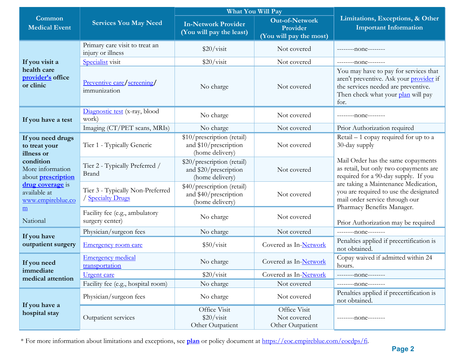|                                                                                                                     |                                                                               |                                                                        | What You Will Pay                                                 |                                                                                                                                                                       |  |
|---------------------------------------------------------------------------------------------------------------------|-------------------------------------------------------------------------------|------------------------------------------------------------------------|-------------------------------------------------------------------|-----------------------------------------------------------------------------------------------------------------------------------------------------------------------|--|
| Common<br><b>Services You May Need</b><br><b>Medical Event</b>                                                      |                                                                               | <b>In-Network Provider</b><br>(You will pay the least)                 | <b>Out-of-Network</b><br>Provider<br>(You will pay the most)      | Limitations, Exceptions, & Other<br><b>Important Information</b>                                                                                                      |  |
|                                                                                                                     | Primary care visit to treat an<br>injury or illness                           | \$20/vist                                                              | Not covered                                                       | --------none--------                                                                                                                                                  |  |
| If you visit a                                                                                                      | Specialist visit                                                              | \$20/visit                                                             | Not covered                                                       | ---------none--------                                                                                                                                                 |  |
| health care<br>provider's office<br>or clinic                                                                       | <u>Preventive care/screening/</u><br>immunization                             | No charge                                                              | Not covered                                                       | You may have to pay for services that<br>aren't preventive. Ask your provider if<br>the services needed are preventive.<br>Then check what your plan will pay<br>for. |  |
| If you have a test                                                                                                  | Diagnostic test (x-ray, blood<br>work)                                        | No charge                                                              | Not covered                                                       | --------- none--------                                                                                                                                                |  |
|                                                                                                                     | Imaging (CT/PET scans, MRIs)                                                  | No charge                                                              | Not covered                                                       | Prior Authorization required                                                                                                                                          |  |
| If you need drugs<br>to treat your<br>illness or                                                                    | Tier 1 - Typically Generic                                                    | \$10/prescription (retail)<br>and \$10/prescription<br>(home delivery) | Not covered                                                       | $Retal - 1$ copay required for up to a<br>30-day supply                                                                                                               |  |
| condition<br>More information<br>about <b>prescription</b><br>drug coverage is<br>available at<br>www.empireblue.co | Tier 2 - Typically Preferred /<br><b>Brand</b>                                | \$20/prescription (retail)<br>and \$20/prescription<br>(home delivery) | Not covered                                                       | Mail Order has the same copayments<br>as retail, but only two copayments are<br>required for a 90-day supply. If you                                                  |  |
|                                                                                                                     | Tier 3 - Typically Non-Preferred<br>/ Specialty Drugs                         | \$40/prescription (retail)<br>and \$40/prescription<br>(home delivery) | Not covered                                                       | are taking a Maintenance Medication,<br>you are required to use the designated<br>mail order service through our                                                      |  |
| $\underline{m}$<br>National                                                                                         | Facility fee (e.g., ambulatory<br>No charge<br>Not covered<br>surgery center) |                                                                        | Pharmacy Benefits Manager.<br>Prior Authorization may be required |                                                                                                                                                                       |  |
| If you have                                                                                                         | Physician/surgeon fees                                                        | No charge                                                              | Not covered                                                       | ---------none--------                                                                                                                                                 |  |
| outpatient surgery                                                                                                  | <b>Emergency room care</b>                                                    | \$50/visit                                                             | Covered as In-Network                                             | Penalties applied if precertification is<br>not obtained.                                                                                                             |  |
| If you need                                                                                                         | <b>Emergency medical</b><br>transportation                                    | No charge                                                              | Covered as In-Network                                             | Copay waived if admitted within 24<br>hours.                                                                                                                          |  |
| immediate<br>medical attention                                                                                      | Urgent care                                                                   | \$20/vist                                                              | Covered as In-Network                                             | --------none--------                                                                                                                                                  |  |
|                                                                                                                     | Facility fee (e.g., hospital room)                                            | No charge                                                              | Not covered                                                       | --------none--------                                                                                                                                                  |  |
|                                                                                                                     | Physician/surgeon fees                                                        | No charge                                                              | Not covered                                                       | Penalties applied if precertification is<br>not obtained.                                                                                                             |  |
| If you have a<br>hospital stay                                                                                      | Outpatient services                                                           | Office Visit<br>\$20/vist<br>Other Outpatient                          | Office Visit<br>Not covered<br>Other Outpatient                   | --------none--------                                                                                                                                                  |  |

\* For more information about limitations and exceptions, see **plan** or policy document at [https://eoc.empireblue.com/eocdps/fi.](https://eoc.empireblue.com/eocdps/fi)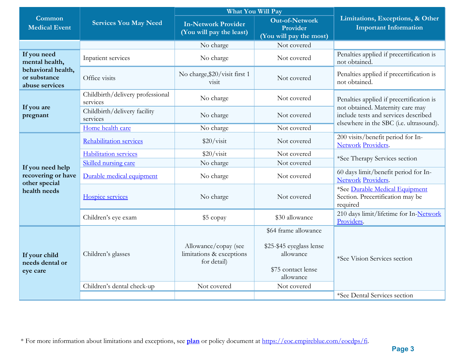|                                                         |                                                                                                                                                        | What You Will Pay                                               |                                                                  |                                                                                                                     |  |
|---------------------------------------------------------|--------------------------------------------------------------------------------------------------------------------------------------------------------|-----------------------------------------------------------------|------------------------------------------------------------------|---------------------------------------------------------------------------------------------------------------------|--|
| Common<br><b>Medical Event</b>                          | <b>Out-of-Network</b><br><b>Services You May Need</b><br><b>In-Network Provider</b><br>Provider<br>(You will pay the least)<br>(You will pay the most) |                                                                 | Limitations, Exceptions, & Other<br><b>Important Information</b> |                                                                                                                     |  |
|                                                         |                                                                                                                                                        | No charge                                                       | Not covered                                                      |                                                                                                                     |  |
| If you need<br>mental health,                           | Inpatient services                                                                                                                                     | No charge                                                       | Not covered                                                      | Penalties applied if precertification is<br>not obtained.                                                           |  |
| behavioral health,<br>or substance<br>abuse services    | Office visits                                                                                                                                          | No charge, \$20/visit first 1<br>visit                          | Not covered                                                      | Penalties applied if precertification is<br>not obtained.                                                           |  |
|                                                         | Childbirth/delivery professional<br>services                                                                                                           | No charge                                                       | Not covered                                                      | Penalties applied if precertification is                                                                            |  |
| If you are<br>pregnant                                  | Childbirth/delivery facility<br>services                                                                                                               | No charge                                                       | Not covered                                                      | not obtained. Maternity care may<br>include tests and services described<br>elsewhere in the SBC (i.e. ultrasound). |  |
|                                                         | Home health care                                                                                                                                       | No charge                                                       | Not covered                                                      |                                                                                                                     |  |
|                                                         | Rehabilitation services                                                                                                                                | \$20/visit                                                      | Not covered                                                      | 200 visits/benefit period for In-<br>Network Providers.                                                             |  |
|                                                         | Habilitation services                                                                                                                                  | \$20/vist                                                       | Not covered                                                      |                                                                                                                     |  |
|                                                         | Skilled nursing care                                                                                                                                   | No charge                                                       | Not covered                                                      | *See Therapy Services section                                                                                       |  |
| If you need help<br>recovering or have<br>other special | Durable medical equipment                                                                                                                              | No charge                                                       | Not covered                                                      | 60 days limit/benefit period for In-<br>Network Providers.                                                          |  |
| health needs                                            | Hospice services                                                                                                                                       | No charge                                                       | Not covered                                                      | *See Durable Medical Equipment<br>Section. Precertification may be<br>required                                      |  |
|                                                         | Children's eye exam                                                                                                                                    | \$5 copay                                                       | \$30 allowance                                                   | 210 days limit/lifetime for In-Network<br>Providers.                                                                |  |
|                                                         |                                                                                                                                                        |                                                                 | \$64 frame allowance                                             |                                                                                                                     |  |
| If your child<br>needs dental or<br>eye care            | Children's glasses                                                                                                                                     | Allowance/copay (see<br>limitations & exceptions<br>for detail) | \$25-\$45 eyeglass lense<br>allowance                            | *See Vision Services section                                                                                        |  |
|                                                         |                                                                                                                                                        |                                                                 | \$75 contact lense<br>allowance                                  |                                                                                                                     |  |
|                                                         | Children's dental check-up                                                                                                                             | Not covered                                                     | Not covered                                                      |                                                                                                                     |  |
|                                                         |                                                                                                                                                        |                                                                 |                                                                  | *See Dental Services section                                                                                        |  |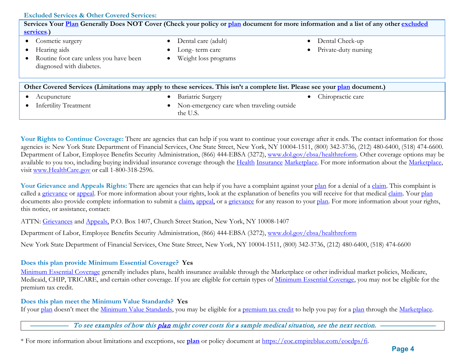#### **Excluded Services & Other Covered Services:**

| Services Your Plan Generally Does NOT Cover (Check your policy or plan document for more information and a list of any other excluded |                                             |                                   |
|---------------------------------------------------------------------------------------------------------------------------------------|---------------------------------------------|-----------------------------------|
| services.)                                                                                                                            |                                             |                                   |
| Cosmetic surgery                                                                                                                      | Dental care (adult)                         | Dental Check-up<br>$\bullet$      |
| Hearing aids                                                                                                                          | Long-term care                              | Private-duty nursing<br>$\bullet$ |
| Routine foot care unless you have been                                                                                                | Weight loss programs                        |                                   |
| diagnosed with diabetes.                                                                                                              |                                             |                                   |
|                                                                                                                                       |                                             |                                   |
| Other Covered Services (Limitations may apply to these services. This isn't a complete list. Please see your plan document.)          |                                             |                                   |
| Acupuncture                                                                                                                           | <b>Bariatric Surgery</b>                    | Chiropractic care<br>$\bullet$    |
| <b>Infertility Treatment</b>                                                                                                          | • Non-emergency care when traveling outside |                                   |
|                                                                                                                                       | the U.S.                                    |                                   |
|                                                                                                                                       |                                             |                                   |

Your Rights to Continue Coverage: There are agencies that can help if you want to continue your coverage after it ends. The contact information for those agencies is: New York State Department of Financial Services, One State Street, New York, NY 10004-1511, (800) 342-3736, (212) 480-6400, (518) 474-6600. Department of Labor, Employee Benefits Security Administration, (866) 444-EBSA (3272), [www.dol.gov/ebsa/healthreform.](http://www.dol.gov/ebsa/healthreform) Other coverage options may be available to you too, including buying individual insurance coverage through the Health Insurance Marketplace. For more information about the Marketplace, visit [www.HealthCare.gov](https://www.healthcare.gov/) or call 1-800-318-2596.

Your Grievance and Appeals Rights: There are agencies that can help if you have a complaint against your [plan](https://www.healthcare.gov/sbc-glossary/) for a denial of a [claim.](https://www.healthcare.gov/sbc-glossary/) This complaint is called a grievance or appeal. For more information about your rights, look at the explanation of benefits you will receive for that medical claim. Your plan documents also provide complete information to submit a claim, appeal, or a grievance for any reason to your plan. For more information about your rights, this notice, or assistance, contact:

ATTN: Grievances and Appeals, P.O. Box 1407, Church Street Station, New York, NY 10008-1407

Department of Labor, Employee Benefits Security Administration, (866) 444-EBSA (3272), [www.dol.gov/ebsa/healthreform](http://www.dol.gov/ebsa/healthreform)

New York State Department of Financial Services, One State Street, New York, NY 10004-1511, (800) 342-3736, (212) 480-6400, (518) 474-6600

### **Does this plan provide Minimum Essential Coverage? Yes**

Minimum Essential Coverage generally includes plans, health insurance available through the Marketplace or other individual market policies, Medicare, Medicaid, CHIP, TRICARE, and certain other coverage. If you are eligible for certain types of Minimum Essential Coverage, you may not be eligible for the premium tax credit.

### **Does this plan meet the Minimum Value Standards? Yes**

If your plan doesn't meet the Minimum Value Standards, you may be eligible for a premium tax credit to help you pay for a plan through the Marketplace.

To see examples of how this plan might cover costs for a sample medical situation, see the next section.

\* For more information about limitations and exceptions, see **plan** or policy document at [https://eoc.empireblue.com/eocdps/fi.](https://eoc.empireblue.com/eocdps/fi)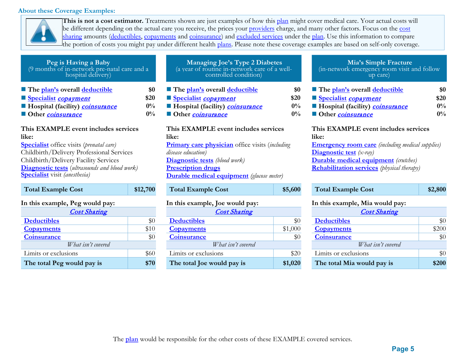#### **About these Coverage Examples:**



**This is not a cost estimator.** Treatments shown are just examples of how this plan might cover medical care. Your actual costs will be different depending on the actual care you receive, the prices your providers charge, and many other factors. Focus on the cost sharing amounts (deductibles, copayments and coinsurance) and excluded services under the plan. Use this information to compare the portion of costs you might pay under different health plans. Please note these coverage examples are based on self-only coverage.

| Peg is Having a Baby<br>(9 months of in-network pre-natal care and a<br>hospital delivery) |       |
|--------------------------------------------------------------------------------------------|-------|
| The plan's overall deductible                                                              | \$0   |
| Specialist copayment                                                                       | \$20  |
| <b>Hospital (facility) <i>coinsurance</i></b>                                              | $0\%$ |
| Other <i>coinsurance</i>                                                                   | $0\%$ |
| This EXAMPLE event includes services                                                       |       |
| like:                                                                                      |       |
| <b>Specialist</b> office visits ( <i>prenatal care</i> )                                   |       |

Childbirth/Delivery Professional Services Childbirth/Delivery Facility Services **Diagnostic tests** (*ultrasounds and blood work)* **Specialist** visit *(anesthesia)*

| \$12,700 |
|----------|
|          |
|          |
|          |
| \$10     |
|          |

| <b>Coinsurance</b>         |  |
|----------------------------|--|
| What isn't covered         |  |
| Limits or exclusions       |  |
| The total Peg would pay is |  |

| <b>Managing Joe's Type 2 Diabetes</b><br>(a year of routine in-network care of a well-<br>controlled condition) |     |
|-----------------------------------------------------------------------------------------------------------------|-----|
| The plan's overall deductible                                                                                   |     |
| Specialist <i>copayment</i>                                                                                     | \$. |

#### **This EXAMPLE event includes services like: Primary care physician** office visits (*including disease education)* **Diagnostic tests** *(blood work)* **Prescription drugs Durable medical equipment** *(glucose meter)*

#### In this example, Joe would pay:

| <b>Cost Sharing</b>        |      | <b>Cost Sharing</b>        |         | <b>Cost Sharing</b>        |       |
|----------------------------|------|----------------------------|---------|----------------------------|-------|
| <b>Deductibles</b>         | \$0  | <b>Deductibles</b>         | $\$0$   | <b>Deductibles</b>         | \$0   |
| <b>Copayments</b>          | \$10 | <b>Copayments</b>          | \$1,000 | <b>Copayments</b>          | \$200 |
| <b>Coinsurance</b>         | \$0  | <b>Coinsurance</b>         | $\$0$   | <b>Coinsurance</b>         | \$0   |
| What isn't covered         |      | What isn't covered         |         | What isn't covered         |       |
| Limits or exclusions       | \$60 | Limits or exclusions       | \$20    | Limits or exclusions       | \$0   |
| The total Peg would pay is | \$70 | The total Joe would pay is | \$1,020 | The total Mia would pay is | \$200 |

# **Mia's Simple Fracture** (in-network emergency room visit and follow up care)

| The plan's overall deductible            | \$0 The plan's overall deductible           | \$0 The <u>plan's</u> overall <u>deductible</u> | \$0   |
|------------------------------------------|---------------------------------------------|-------------------------------------------------|-------|
| Specialist <i>copayment</i>              | \$20 Specialist copayment                   | \$20 Specialist copayment                       | \$20  |
| ■ Hospital (facility) <i>coinsurance</i> | 0% ■ Hospital (facility) <i>coinsurance</i> | 0% • Hospital (facility) <i>coinsurance</i>     | $0\%$ |
| Other <i>coinsurance</i>                 | $0\%$ Other <i>coinsurance</i>              | $0\%$ Other <i>coinsurance</i>                  | $0\%$ |

#### **This EXAMPLE event includes services like:**

**Emergency room care** *(including medical supplies)* **Diagnostic test** *(x-ray)* **Durable medical equipment** *(crutches)* **Rehabilitation services** *(physical therapy)*

| <b>Total Example Cost</b>      | \$12,700 | <b>Total Example Cost</b>       | \$5,600 | <b>Total Example Cost</b>       | \$2,800 |
|--------------------------------|----------|---------------------------------|---------|---------------------------------|---------|
| n this example, Peg would pay: |          | In this example, Joe would pay: |         | In this example, Mia would pay: |         |
| <b>Cost Sharing</b>            |          | <b>Cost Sharing</b>             |         | <b>Cost Sharing</b>             |         |
| <b>Deductibles</b>             | \$0      | <b>Deductibles</b>              | $\$0$   | <b>Deductibles</b>              | \$0     |
| <b>Copayments</b>              | \$10     | <b>Copayments</b>               | \$1,000 | <b>Copayments</b>               | \$200   |
| <b>Coinsurance</b>             | \$0      | <b>Coinsurance</b>              | \$0     | <b>Coinsurance</b>              | \$0     |
| What isn't covered             |          | What isn't covered              |         | What isn't covered              |         |
| Limits or exclusions           | \$60     | Limits or exclusions            | \$20    | Limits or exclusions            | \$0     |
| The total Peg would pay is     | \$70     | The total Joe would pay is      | \$1,020 | The total Mia would pay is      | \$200   |

The **plan** would be responsible for the other costs of these EXAMPLE covered services.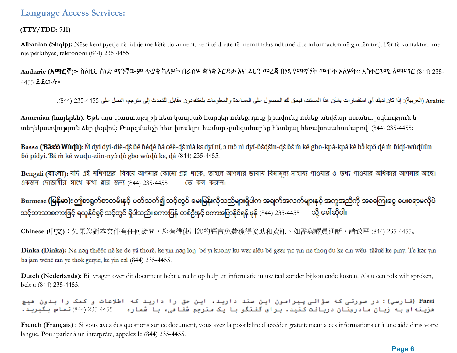### **(TTY/TDD: 711)**

**Albanian (Shqip):** Nëse keni pyetje në lidhje me këtë dokument, keni të drejtë të merrni falas ndihmë dhe informacion në gjuhën tuaj. Për të kontaktuar me një përkthyes, telefononi (844) 235-4455

**Amharic (አማርኛ)፦** ስለዚህ ሰነድ ማንኛውም ጥያቄ ካለዎት በራስዎ ቋንቋ እርዳታ እና ይህን መረጃ በነጻ የማግኘት መብት አለዎት። አስተርጓሚ ለማናገር (844) 235- 4455 ይደውሉ።

Arabic (العربية): إذا كان لديك أي استفسار ات بشأن هذا المستند، فيحق لك الحصول على المساعدة والمعلومات بلغتك دون مقابل للتحدث إلى مترجم، اتصل على 4455-235 (844).

**Armenian (**հայերեն**).** Եթե այս փաստաթղթի հետ կապված հարցեր ունեք, դուք իրավունք ունեք անվճար ստանալ օգնություն և տեղեկատվություն ձեր լեզվով: Թարգմանչի հետ խոսելու համար զանգահարեք հետևյալ հեռախոսահամարով՝ (844) 235-4455:

Bassa (Băsóò Wùdù): M dyi dyi-diè-dè bě bédé bá céè-dè nìà kɛ dyí ní, ɔ mò nì dyí-bèdèìn-dè bé m̀ ké gbo-kpá-kpá kè bỗ kpõ dé m̀ bídí-wùdùǔn bó pídyi. Bé m ké wudu-ziìn-nyò dò gbo wùdù ke, dá (844) 235-4455.

Bengali (বাংলা): যদি এই নথিপত্রের বিষয়ে আপনার কোনো প্রশ্ন খাকে, তাহলে আপনার ভাষায় বিনামূল্য সাওয়ার ও তথ্য পাওয়ার অধিকার আপনার আছে। একজন (দাভাষীর সাথে কথা ব্লার জন্য (844) 235-4455  $-$  (ত কল করুন।

Burmese **(ပြန်မာ):** ဤစာရွက်စာတမ်းနှင့် ပတ်သက်၍ သင့်တွင် မေးမြန်းလိုသည်များရှိပါက အချက်အလက်များနှင့် အကူအညီကို အခကြေးငွေ ပေးစရာမလိုပဲ သင့်ဘာသာစကားဖြင့် ရယူနိုင်ခွင့် သင့်တွင် ရှိပါသည်။ စကားပြန် တစ်ဦးနှင့် စကားပြောနိုင်ရန် ဖုန် (844) 235-4455 ထို့ ခေါ်ဆိုပါ။

**Chinese (**中文**)**:如果您對本文件有任何疑問,您有權使用您的語言免費獲得協助和資訊。如需與譯員通話,請致電 (844) 235-4455。

Dinka (Dinka): Na non thiëëc në ke de yä thorë, ke yin non lon bë yi kuony ku wer alëu bë geer yic yin ne thon du ke cin wëu tääuë ke piny. Te kor yin ba jam wënë ran ye thok geryic, ke yin col (844) 235-4455.

**Dutch (Nederlands):** Bij vragen over dit document hebt u recht op hulp en informatie in uw taal zonder bijkomende kosten. Als u een tolk wilt spreken, belt u (844) 235-4455.

.<br>Farsi (فارسی): در صورتی که سؤالی پیرامون این سند دارید، این حق را دارید که اطلاعات و کمک را بدون هیچ هزینه ای به زبان مادریتان دریافت کنید. برای گفتگو با یک مترجم شفا هی، با شماره = 4455-235 (844) تماس بگیرید.

French (Français) : Si vous avez des questions sur ce document, vous avez la possibilité d'accéder gratuitement à ces informations et à une aide dans votre langue. Pour parler à un interprète, appelez le (844) 235-4455.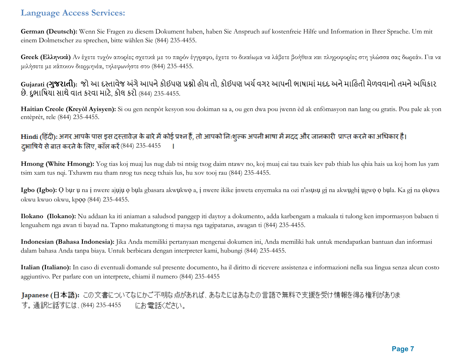**German (Deutsch):** Wenn Sie Fragen zu diesem Dokument haben, haben Sie Anspruch auf kostenfreie Hilfe und Information in Ihrer Sprache. Um mit einem Dolmetscher zu sprechen, bitte wählen Sie (844) 235-4455.

**Greek (Ελληνικά)** Αν έχετε τυχόν απορίες σχετικά με το παρόν έγγραφο, έχετε το δικαίωμα να λάβετε βοήθεια και πληροφορίες στη γλώσσα σας δωρεάν. Για να μιλήσετε με κάποιον διερμηνέα, τηλεφωνήστε στο (844) 235-4455.

### Gujarati (**ગુજરાતી**): જો આ દસ્તાવેજ અંગે આપને કોઈપણ પ્રશ્નો હોય તો, કોઈપણ ખર્ચ વગર આપની ભાષામાં મદદ અને માહિતી મેળવવાનો તમને અધિકાર છે. દુભાિષયા સાથેવાત કરવા માટે, કોલ કરો (844) 235-4455.

**Haitian Creole (Kreyòl Ayisyen):** Si ou gen nenpòt kesyon sou dokiman sa a, ou gen dwa pou jwenn èd ak enfòmasyon nan lang ou gratis. Pou pale ak yon entèprèt, rele (844) 235-4455.

### Hindi (हिंदी): अगर आपके पास इस दस्तावेज़ के बारे में कोई प्रश्न हैं, तो आपको निःशुल्क अपनी भाषा में मदद और जानकारी प्राप्त करने का अधिकार है। दभाषिये से बात करने के लिए, कॉल करें (844) 235-4455

**Hmong (White Hmong):** Yog tias koj muaj lus nug dab tsi ntsig txog daim ntawv no, koj muaj cai tau txais kev pab thiab lus qhia hais ua koj hom lus yam tsim xam tus nqi. Txhawm rau tham nrog tus neeg txhais lus, hu xov tooj rau (844) 235-4455.

**Igbo (Igbo):** Ọ bụr ụ na ị nwere ajụjụ ọ bụla gbasara akwụkwọ a, ị nwere ikike ịnweta enyemaka na ozi n'asụsụ gị na akwụghị ụgwọ ọ bụla. Ka gị na ọkọwa okwu kwuo okwu, kpọọ (844) 235-4455.

**Ilokano (Ilokano):** Nu addaan ka iti aniaman a saludsod panggep iti daytoy a dokumento, adda karbengam a makaala ti tulong ken impormasyon babaen ti lenguahem nga awan ti bayad na. Tapno makatungtong ti maysa nga tagipatarus, awagan ti (844) 235-4455.

**Indonesian (Bahasa Indonesia):** Jika Anda memiliki pertanyaan mengenai dokumen ini, Anda memiliki hak untuk mendapatkan bantuan dan informasi dalam bahasa Anda tanpa biaya. Untuk berbicara dengan interpreter kami, hubungi (844) 235-4455.

**Italian (Italiano):** In caso di eventuali domande sul presente documento, ha il diritto di ricevere assistenza e informazioni nella sua lingua senza alcun costo aggiuntivo. Per parlare con un interprete, chiami il numero (844) 235-4455

Japanese (日本語): この文書についてなにかご不明な点があれば、あなたにはあなたの言語で無料で支援を受け情報を得る権利がありま す。通訳と話すには、(844) 235-4455 にお電話ください。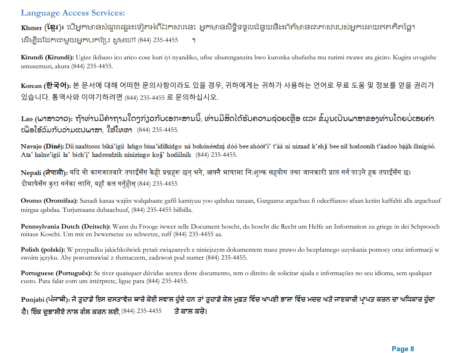Khmer (ខ្មែរ)៖ បើអ្នកមានសំណួរផ្សេងទៀតអំពីឯកសារនេះ អ្នកមានសិទ្ធិទទួលជំនួយនិងព័ត៌មានជាភាសារបស់អ្នកដោយឥតគិតថ្លៃ។ (844) 235-4455 ٩

**Kirundi (Kirundi):** Ugize ikibazo ico arico cose kuri iyi nyandiko, ufise uburenganzira bwo kuronka ubufasha mu rurimi rwawe ata giciro. Kugira uvugishe umusemuzi, akura (844) 235-4455.

**Korean (한국어):** 본 문서에 대해 어떠한 문의사항이라도 있을 경우, 귀하에게는 귀하가 사용하는 언어로 무료 도움 및 정보를 얻을 권리가 있습니다. 통역사와 이야기하려면 (844) 235-4455 로 문의하십시오.

Lao (ພາສາລາວ): ຖ້າທ່ານມີຄຳຖາມໃດໆກ່ຽວກັບເອກະສານນີ້, ທ່ານມີສິດໄດ້ຮັບຄວາມຊ່ວຍເຫຼືອ ແລະ ຂໍ້ມູນເປັນພາສາຂອງທ່ານໂດຍບໍ່ເສຍຄ່າ.  $c$ ພື່ອໂອ້ລົມກັບລ່າມແປພາສາ, ໃຫ້ໂທຫາ  $(844)$  235-4455.

Navajo (Diné): Díí naaltsoos biká'ígíí lahgo bína'ídílkidgo ná bohónéedzá dóó bee ahóót'i' t'áá ni nizaad k'ehji bee nil hodoonih t'áadoo bááh ílínígóó. Ata' halne'ígíi ła' bich'i' hadeesdzih nínízingo koji' hodíilnih (844) 235-4455.

Nepali (नेपाली): यदि यो कागजातबारे तपाईँसँग केही प्रश्नहरू छन् भने, आफ्नै भाषामा निःशुल्क सहयोग तथा जानकारी प्राप्त गर्न पाउने हक तपाईँसँग छ। दोभाषेसँग कुरा गर्नका लागि, यहाँ कल गर्नुहोस् (844) 235-4455

**Oromo (Oromifaa):** Sanadi kanaa wajiin walqabaate gaffi kamiyuu yoo qabduu tanaan, Gargaarsa argachuu fi odeeffanoo afaan ketiin kaffaltii alla argachuuf mirgaa qabdaa. Turjumaana dubaachuuf, (844) 235-4455 bilbilla.

**Pennsylvania Dutch (Deitsch):** Wann du Frooge iwwer selle Document hoscht, du hoscht die Recht um Helfe un Information zu griege in dei Schprooch mitaus Koscht. Um mit en Iwwersetze zu schwetze, ruff (844) 235-4455 aa.

**Polish (polski):** W przypadku jakichkolwiek pytań związanych z niniejszym dokumentem masz prawo do bezpłatnego uzyskania pomocy oraz informacji w swoim języku. Aby porozmawiać z tłumaczem, zadzwoń pod numer (844) 235-4455.

Portuguese (Português): Se tiver quaisquer dúvidas acerca deste documento, tem o direito de solicitar ajuda e informações no seu idioma, sem qualquer custo. Para falar com um intérprete, ligue para (844) 235-4455.

# Punjabi (ਪੰਜਾਬੀ): ਜੇ ਤੁਹਾਡੇ ਇਸ ਦਸਤਾਵੇਜ਼ ਬਾਰੇ ਕੋਈ ਸਵਾਲ ਹੁੰਦੇ ਹਨ ਤਾਂ ਤੁਹਾਡੇ ਕੋਲ ਮੁਫ਼ਤ ਵਿੱਚ ਆਪਣੀ ਭਾਸ਼ਾ ਵਿੱਚ ਮਦਦ ਅਤੇ ਜਾਣਕਾਰੀ ਪ੍ਰਾਪਤ ਕਰਨ ਦਾ ਅਧਿਕਾਰ ਹੁੰਦਾ ਹੈ। ਇੱਕ ਦੁਭਾਸ਼ੀਏ ਨਾਲ ਗੱਲ ਕਰਨ ਲਈ, (844) 235-4455 ਤੇ ਕਾਲ ਕਰੋ।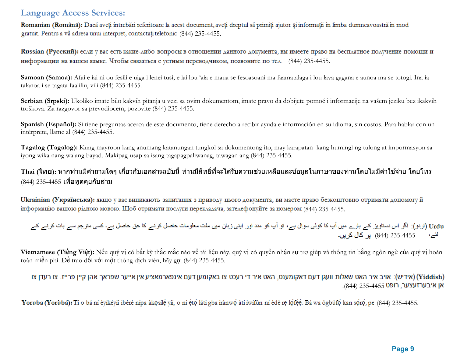Romanian (Română): Dacă aveți întrebări referitoare la acest document, aveți dreptul să primiți ajutor și informații în limba dumneavoastră în mod gratuit. Pentru a vă adresa unui interpret, contactați telefonic (844) 235-4455.

Russian (Русский): если у вас есть какие-либо вопросы в отношении данного документа, вы имеете право на бесплатное получение помощи и информации на вашем языке. Чтобы связаться с устным переводчиком, позвоните по тел. (844) 235-4455.

**Samoan (Samoa):** Afai e iai ni ou fesili e uiga i lenei tusi, e iai lou 'aia e maua se fesoasoani ma faamatalaga i lou lava gagana e aunoa ma se totogi. Ina ia talanoa i se tagata faaliliu, vili (844) 235-4455.

**Serbian (Srpski):** Ukoliko imate bilo kakvih pitanja u vezi sa ovim dokumentom, imate pravo da dobijete pomoć i informacije na vašem jeziku bez ikakvih troškova. Za razgovor sa prevodiocem, pozovite (844) 235-4455.

**Spanish (Español):** Si tiene preguntas acerca de este documento, tiene derecho a recibir ayuda e información en su idioma, sin costos. Para hablar con un intérprete, llame al (844) 235-4455.

**Tagalog (Tagalog):** Kung mayroon kang anumang katanungan tungkol sa dokumentong ito, may karapatan kang humingi ng tulong at impormasyon sa iyong wika nang walang bayad. Makipag-usap sa isang tagapagpaliwanag, tawagan ang (844) 235-4455.

### ้ Thai (**ไทย**): หากท่านมีคำถามใดๆ เกี่ยวกับเอกสารฉบับนี้ ท่านมีสิทธิ์ที่จะได*้*รับความช่วยเหลือและข้อมลในภาษาของท่านโดยไม่มีค่าใช้จ่าย โดยโทร  $(844)$  235-4455 เพื่อพูดคุยกับล่าม

Ukrainian (Українська): якщо у вас виникають запитання з приводу цього документа, ви маєте право безкоштовно отримати допомогу й інформацію вашою рідною мовою. Щоб отримати послуги перекладача, зателефонуйте за номером: (844) 235-4455.

Urdu (اردو): اگر اس دستاویز کے بارے میں آپ کا کوئی سوال ہے، تو آپ کو مدد اور اپنی زبان میں مفت معلومات حاصل کرنے کا حق حاصل ہے۔ کسی مترجم سے بات کرنے کے <sup>لئے،</sup> 235-4455 (844) پر کال کریں۔

**Vietnamese (Tiếng Việt):** Nếu quý vị có bất kỳ thắc mắc nào về tài liệu này, quý vị có quyền nhận sự trợ giúp và thông tin bằng ngôn ngữ của quý vị hoàn toàn miễn phí. Để trao đổi với một thông dịch viên, hãy gọi (844) 235-4455.

### (אידיש): אויב איר האט שאלות וועגן דעם דאקומענט, האט איר די רעכט צו באקומען דעם אינפארמאציע אין אייער שפראך אהן קיין פרייז. צו רעדן צו (Yiddish) .(844) אן איבערזעצער, רופט 235-4455

Yoruba (Yorubá): Tí o bá ní èyíkéyň ibèrè nípa àkosíle vň, o ní eto láti gba irànwo àti iwífún ní èdè re lofee. Bá wa ògbufo kan soro, pe (844) 235-4455.